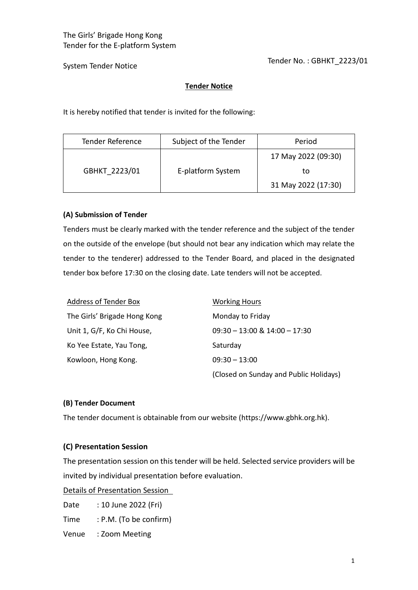Tender No. : GBHKT\_2223/01

System Tender Notice

# **Tender Notice**

It is hereby notified that tender is invited for the following:

| <b>Tender Reference</b> | Subject of the Tender | Period              |
|-------------------------|-----------------------|---------------------|
| GBHKT 2223/01           | E-platform System     | 17 May 2022 (09:30) |
|                         |                       | to                  |
|                         |                       | 31 May 2022 (17:30) |

### **(A) Submission of Tender**

Tenders must be clearly marked with the tender reference and the subject of the tender on the outside of the envelope (but should not bear any indication which may relate the tender to the tenderer) addressed to the Tender Board, and placed in the designated tender box before 17:30 on the closing date. Late tenders will not be accepted.

| <b>Address of Tender Box</b> | <b>Working Hours</b>                   |
|------------------------------|----------------------------------------|
| The Girls' Brigade Hong Kong | Monday to Friday                       |
| Unit 1, G/F, Ko Chi House,   | $09:30 - 13:00 \& 14:00 - 17:30$       |
| Ko Yee Estate, Yau Tong,     | Saturday                               |
| Kowloon, Hong Kong.          | $09:30 - 13:00$                        |
|                              | (Closed on Sunday and Public Holidays) |

#### **(B) Tender Document**

The tender document is obtainable from our website (https://www.gbhk.org.hk).

# **(C) Presentation Session**

The presentation session on this tender will be held. Selected service providers will be invited by individual presentation before evaluation.

Details of Presentation Session

Date : 10 June 2022 (Fri)

Time : P.M. (To be confirm)

Venue : Zoom Meeting